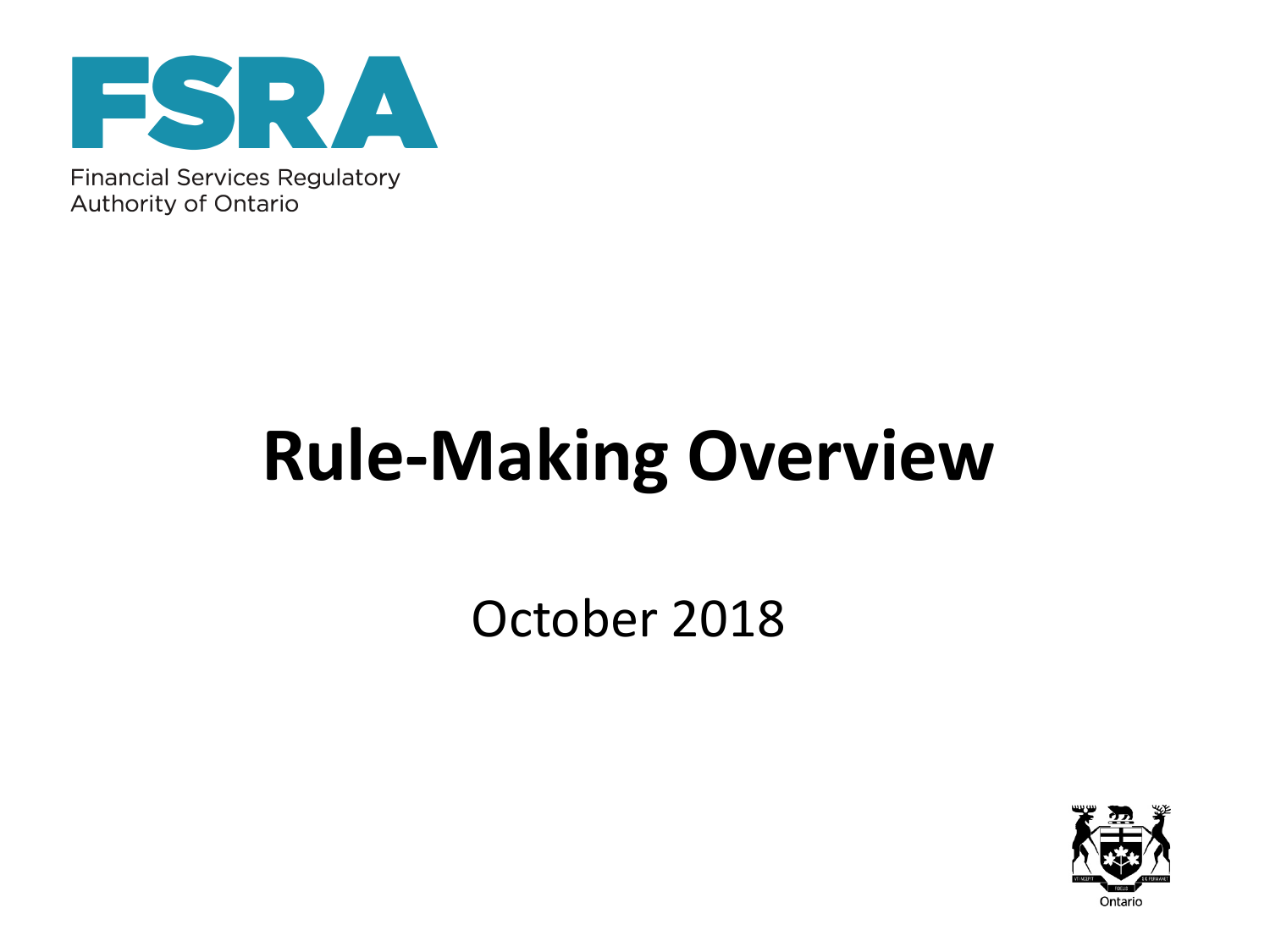

Financial Services Regulatory Authority of Ontario

# **Rule-Making Overview**

October 2018

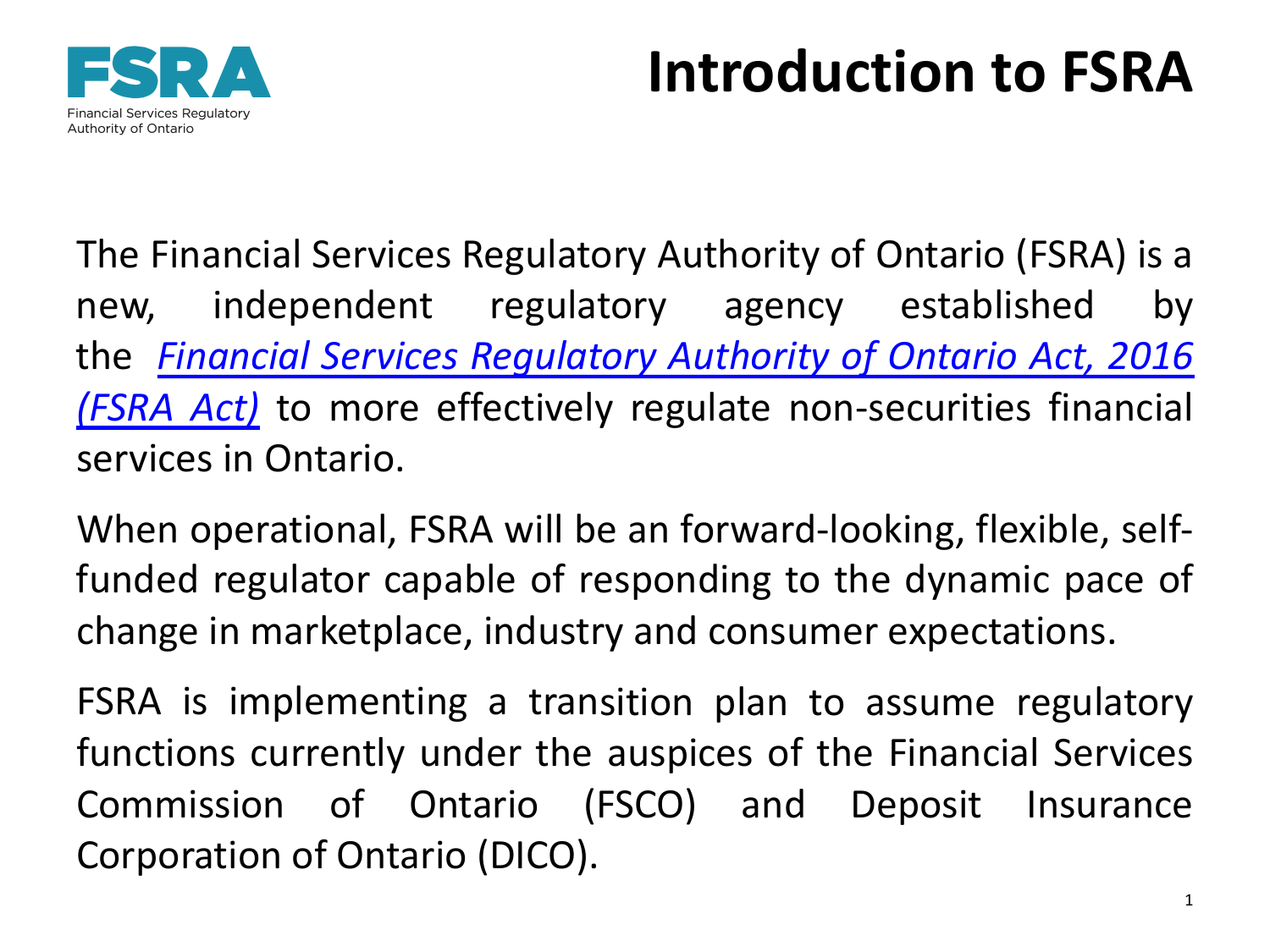### **Introduction to FSRA**



The Financial Services Regulatory Authority of Ontario (FSRA) is a new, independent regulatory agency established by the *Financial Services Regulatory Authority of Ontario Act, 2016 (FSRA Act)* to more effectively regulate [non-securities](https://www.ontario.ca/laws/statute/16f37#BK22) financial services in Ontario.

When operational, FSRA will be an forward-looking, flexible, selffunded regulator capable of responding to the dynamic pace of change in marketplace, industry and consumer expectations.

FSRA is implementing a transition plan to assume regulatory functions currently under the auspices of the Financial Services Commission of Ontario (FSCO) and Deposit Insurance Corporation of Ontario (DICO).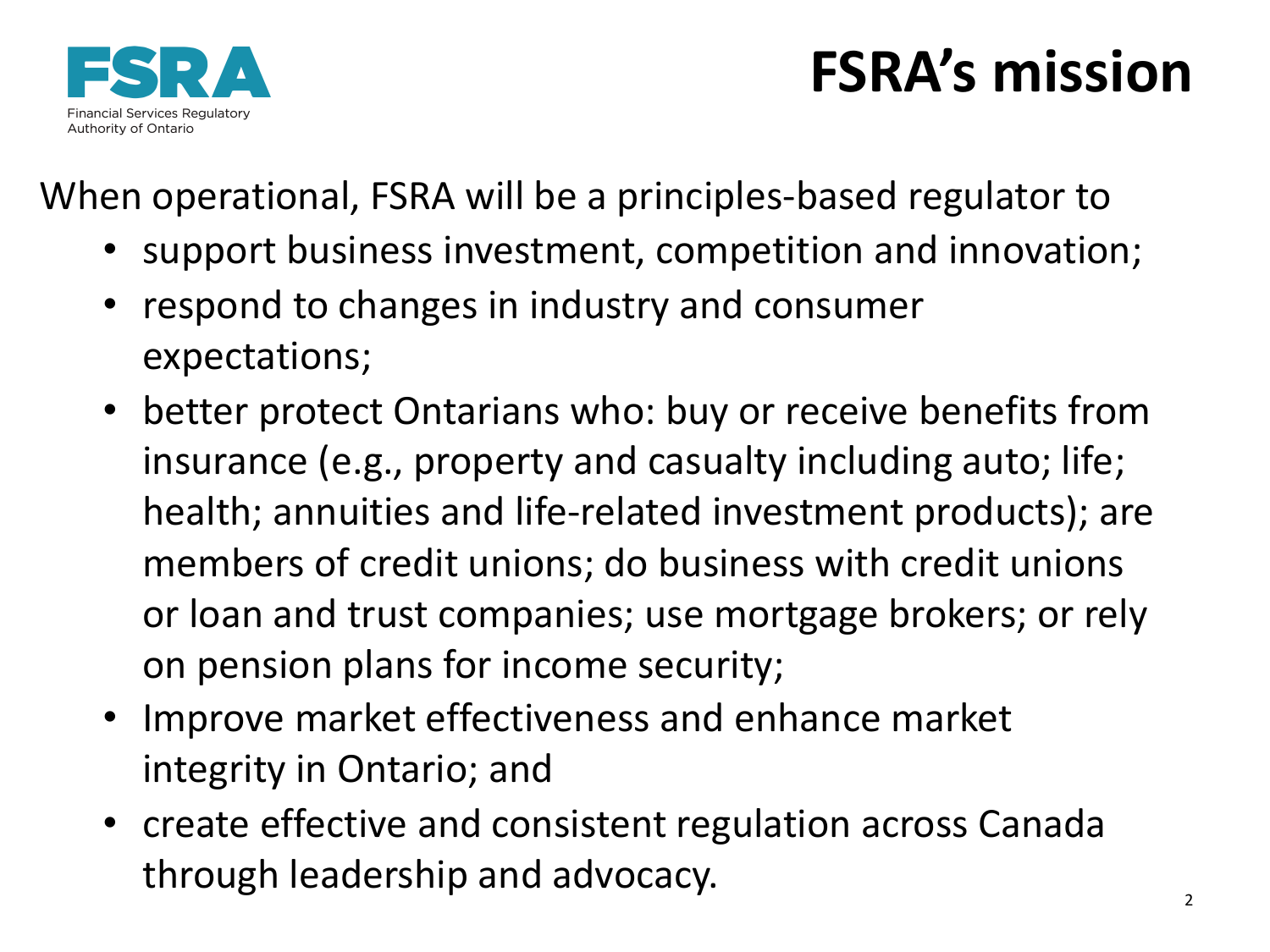

### **FSRA's mission**

When operational, FSRA will be a principles-based regulator to

- support business investment, competition and innovation;
- respond to changes in industry and consumer expectations;
- better protect Ontarians who: buy or receive benefits from insurance (e.g., property and casualty including auto; life; health; annuities and life-related investment products); are members of credit unions; do business with credit unions or loan and trust companies; use mortgage brokers; or rely on pension plans for income security;
- Improve market effectiveness and enhance market integrity in Ontario; and
- create effective and consistent regulation across Canada through leadership and advocacy.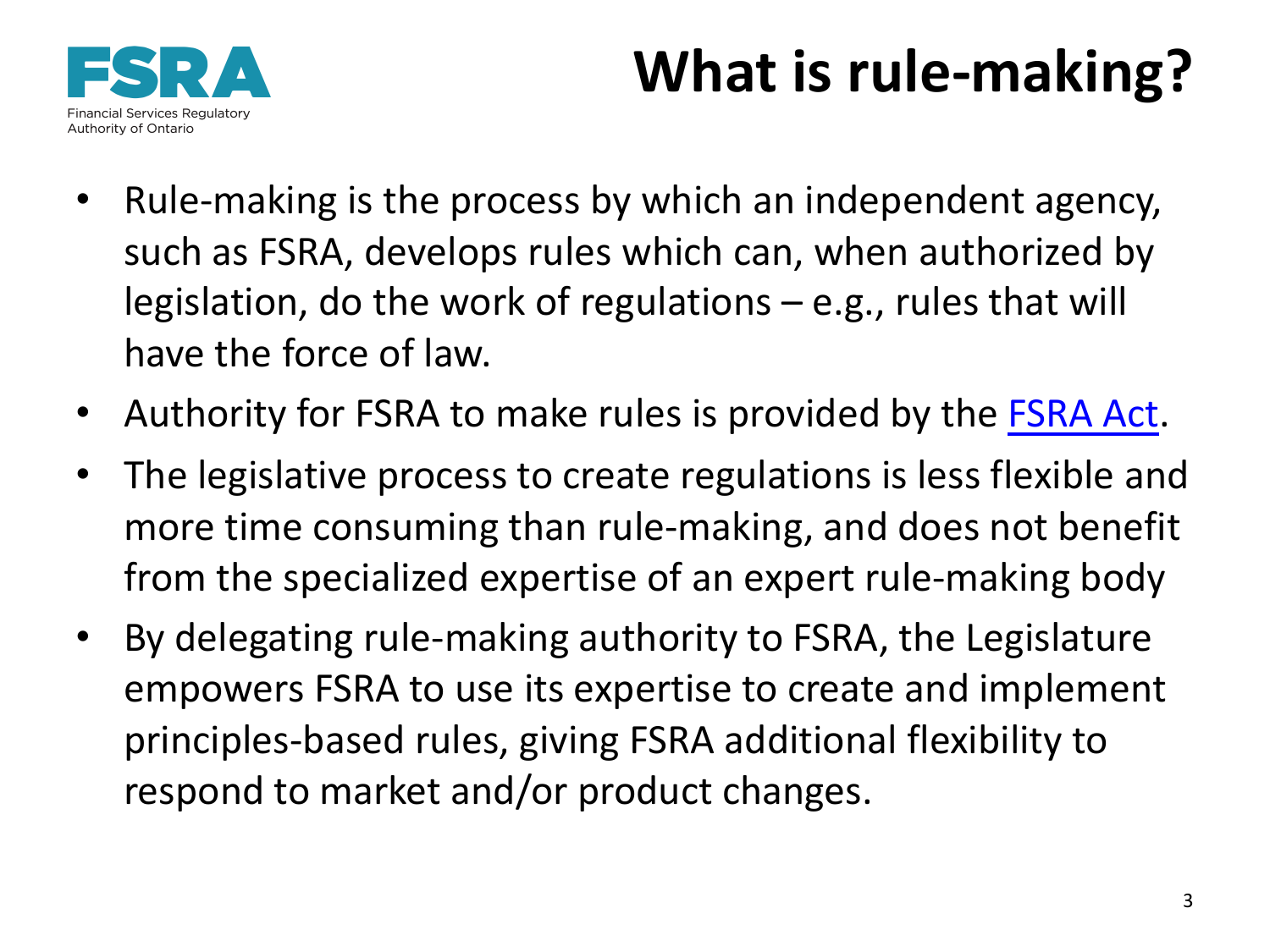## **What is rule-making?**



- Rule-making is the process by which an independent agency, such as FSRA, develops rules which can, when authorized by legislation, do the work of regulations – e.g., rules that will have the force of law.
- Authority for FSRA to make rules is provided by the [FSRA](https://www.ontario.ca/laws/statute/16f37#BK22) Act.
- The legislative process to create regulations is less flexible and more time consuming than rule-making, and does not benefit from the specialized expertise of an expert rule-making body
- By delegating rule-making authority to FSRA, the Legislature empowers FSRA to use its expertise to create and implement principles-based rules, giving FSRA additional flexibility to respond to market and/or product changes.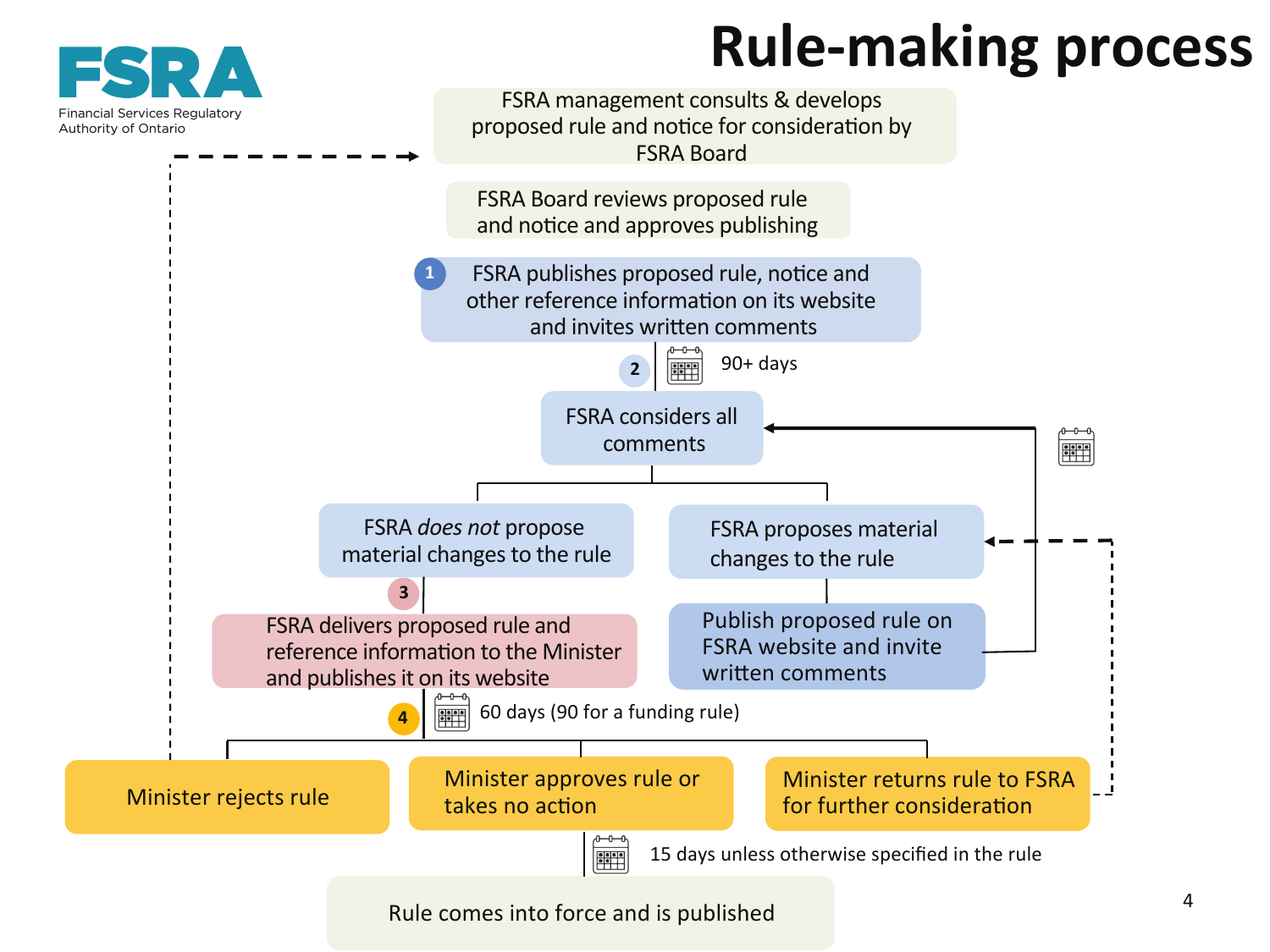